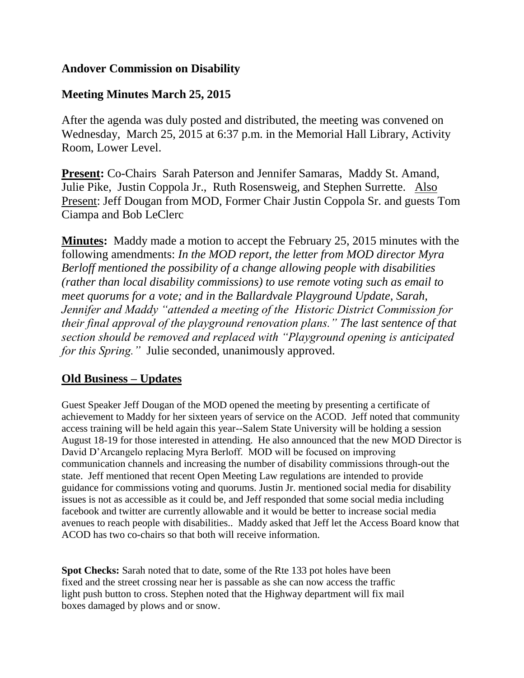### **Andover Commission on Disability**

## **Meeting Minutes March 25, 2015**

After the agenda was duly posted and distributed, the meeting was convened on Wednesday, March 25, 2015 at 6:37 p.m. in the Memorial Hall Library, Activity Room, Lower Level.

**Present:** Co-Chairs Sarah Paterson and Jennifer Samaras, Maddy St. Amand, Julie Pike, Justin Coppola Jr., Ruth Rosensweig, and Stephen Surrette. Also Present: Jeff Dougan from MOD, Former Chair Justin Coppola Sr. and guests Tom Ciampa and Bob LeClerc

**Minutes:** Maddy made a motion to accept the February 25, 2015 minutes with the following amendments: *In the MOD report, the letter from MOD director Myra Berloff mentioned the possibility of a change allowing people with disabilities (rather than local disability commissions) to use remote voting such as email to meet quorums for a vote; and in the Ballardvale Playground Update, Sarah, Jennifer and Maddy "attended a meeting of the Historic District Commission for their final approval of the playground renovation plans." The last sentence of that section should be removed and replaced with "Playground opening is anticipated for this Spring."* Julie seconded, unanimously approved.

## **Old Business – Updates**

Guest Speaker Jeff Dougan of the MOD opened the meeting by presenting a certificate of achievement to Maddy for her sixteen years of service on the ACOD. Jeff noted that community access training will be held again this year--Salem State University will be holding a session August 18-19 for those interested in attending. He also announced that the new MOD Director is David D'Arcangelo replacing Myra Berloff. MOD will be focused on improving communication channels and increasing the number of disability commissions through-out the state. Jeff mentioned that recent Open Meeting Law regulations are intended to provide guidance for commissions voting and quorums. Justin Jr. mentioned social media for disability issues is not as accessible as it could be, and Jeff responded that some social media including facebook and twitter are currently allowable and it would be better to increase social media avenues to reach people with disabilities.. Maddy asked that Jeff let the Access Board know that ACOD has two co-chairs so that both will receive information.

**Spot Checks:** Sarah noted that to date, some of the Rte 133 pot holes have been fixed and the street crossing near her is passable as she can now access the traffic light push button to cross. Stephen noted that the Highway department will fix mail boxes damaged by plows and or snow.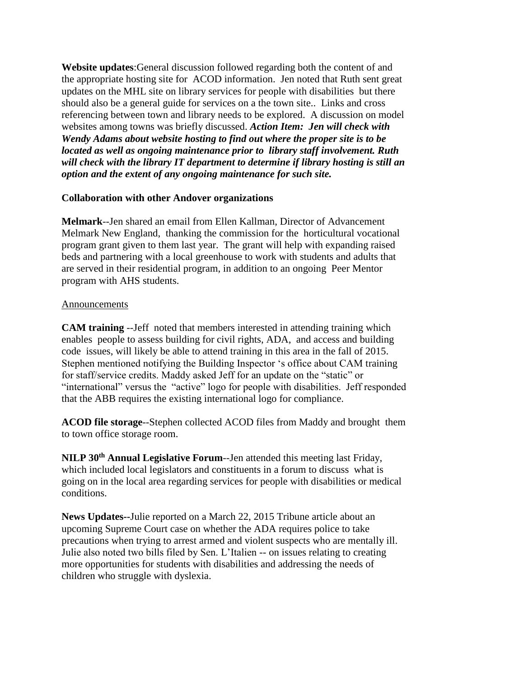**Website updates**:General discussion followed regarding both the content of and the appropriate hosting site for ACOD information. Jen noted that Ruth sent great updates on the MHL site on library services for people with disabilities but there should also be a general guide for services on a the town site.. Links and cross referencing between town and library needs to be explored. A discussion on model websites among towns was briefly discussed. *Action Item: Jen will check with Wendy Adams about website hosting to find out where the proper site is to be located as well as ongoing maintenance prior to library staff involvement. Ruth will check with the library IT department to determine if library hosting is still an option and the extent of any ongoing maintenance for such site.*

#### **Collaboration with other Andover organizations**

**Melmark**--Jen shared an email from Ellen Kallman, Director of Advancement Melmark New England, thanking the commission for the horticultural vocational program grant given to them last year. The grant will help with expanding raised beds and partnering with a local greenhouse to work with students and adults that are served in their residential program, in addition to an ongoing Peer Mentor program with AHS students.

#### **Announcements**

**CAM training** --Jeff noted that members interested in attending training which enables people to assess building for civil rights, ADA, and access and building code issues, will likely be able to attend training in this area in the fall of 2015. Stephen mentioned notifying the Building Inspector 's office about CAM training for staff/service credits. Maddy asked Jeff for an update on the "static" or "international" versus the "active" logo for people with disabilities. Jeff responded that the ABB requires the existing international logo for compliance.

**ACOD file storage**--Stephen collected ACOD files from Maddy and brought them to town office storage room.

**NILP 30th Annual Legislative Forum**--Jen attended this meeting last Friday, which included local legislators and constituents in a forum to discuss what is going on in the local area regarding services for people with disabilities or medical conditions.

**News Updates--**Julie reported on a March 22, 2015 Tribune article about an upcoming Supreme Court case on whether the ADA requires police to take precautions when trying to arrest armed and violent suspects who are mentally ill. Julie also noted two bills filed by Sen. L'Italien -- on issues relating to creating more opportunities for students with disabilities and addressing the needs of children who struggle with dyslexia.